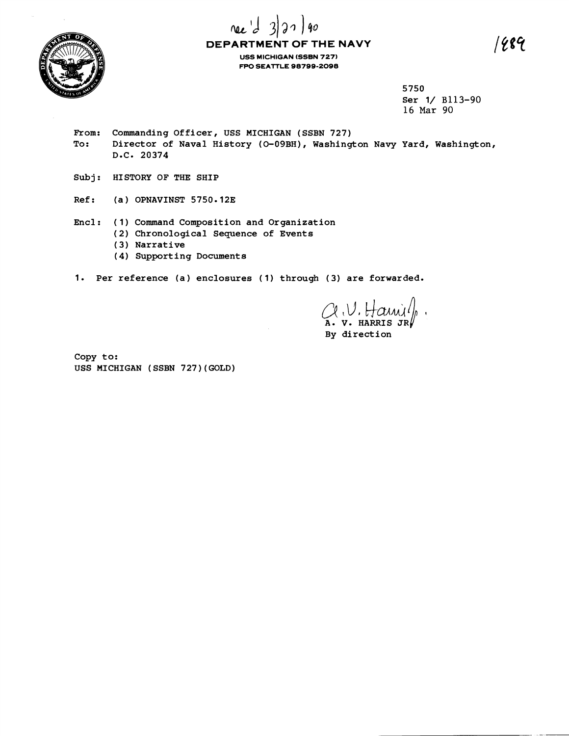

# rec'd  $90$ **DEPARTMENT OF THE NAVY USS MICHIGAN (SSBN** 727) **FPO SEATTLE 98799-2098**

5750 Ser 1/ B113-90 16 Mar 90

- From: Commanding Officer, USS MICHIGAN (SSBN 727)<br>To: Director of Naval History (0-09BH), Washing Director of Naval History (0-09BH), Washington Navy Yard, Washington, D-C- 20374
- Subj: HISTORY OF THE SHIP
- Ref: (a) OPNAVINST 5750.12E
- Encl : ( <sup>1</sup>) Command Composition and Organization
	- ( 2) Chronological Sequence of Events
	- ( 3) Narrative
	- ( 4 **1** Supporting Documents
- 1. Per reference (a) enclosures (1) through (3) are forwarded.

V. HARRIS JR

By direction

Copy to: USS MICHIGAN (SSBN 727)(GOLD)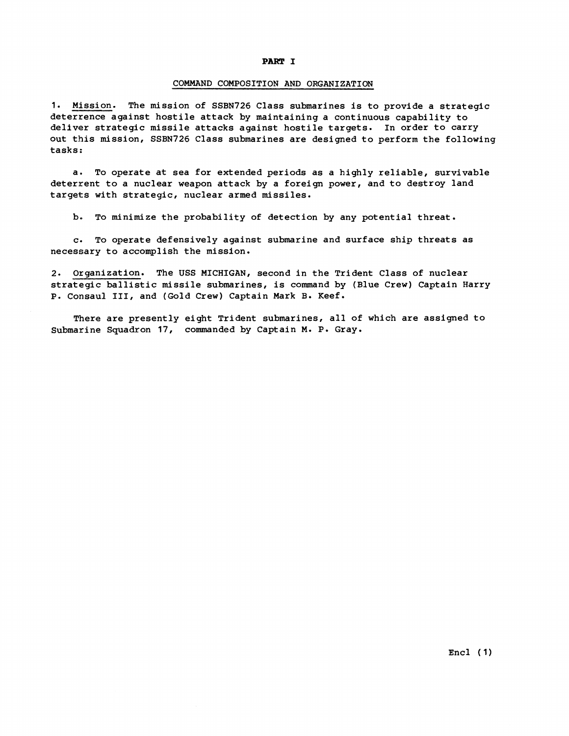### **PART I**

#### COMMAND COMPOSITION AND ORGANIZATION

1. Mission. The mission of SSBN726 Class submarines is to provide a strategic deterrence against hostile attack by maintaining a continuous capability to deliver strategic missile attacks against hostile targets. In order to carry out this mission, SSBN726 Class submarines are designed to perform the following tasks:

a. To operate at sea for extended periods as a highly reliable, survivable deterrent to a nuclear weapon attack by a foreign power, and to destroy land targets with strategic, nuclear armed missiles.

b. To minimize the probability of detection by any potential threat.

c. To operate defensively against submarine and surface ship threats as necessary to accomplish the mission.

2. Organization. The **USS** MICHIGAN, second in the Trident Class of nuclear strategic ballistic missile submarines, is command by (Blue Crew) Captain Harry P. Consaul 111, and (Gold Crew) Captain Mark **B.** Keef.

There are presently eight Trident submarines, all of which are assigned to Submarine Squadron 17, commanded by Captain **M. P.** Gray.

 $Enc1$  (1)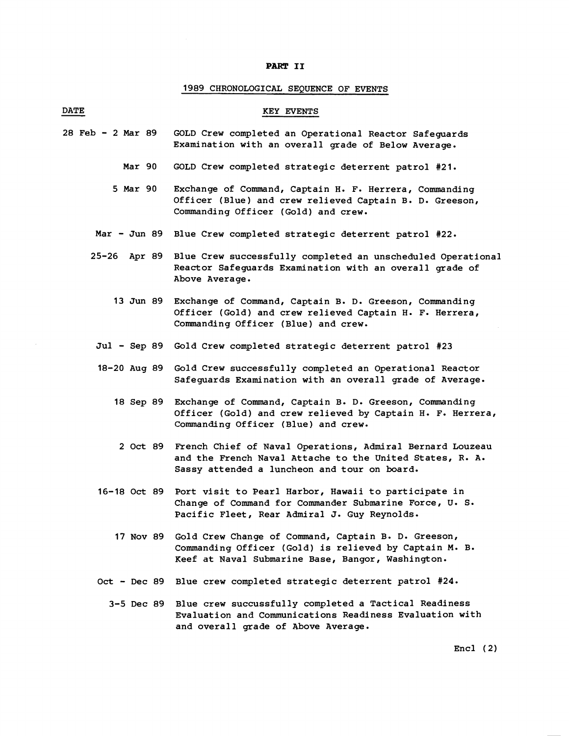## **PART 11**

# 1989 CHRONOLOGICAL SEQUENCE OF EVENTS

| <b>PART II</b>    |                                                                                                                                                                                |
|-------------------|--------------------------------------------------------------------------------------------------------------------------------------------------------------------------------|
|                   | 1989 CHRONOLOGICAL SEQUENCE OF EVENTS                                                                                                                                          |
| <b>DATE</b>       | KEY EVENTS                                                                                                                                                                     |
| 28 Feb - 2 Mar 89 | GOLD Crew completed an Operational Reactor Safeguards<br>Examination with an overall grade of Below Average.                                                                   |
| Mar 90            | GOLD Crew completed strategic deterrent patrol #21.                                                                                                                            |
| 5 Mar 90          | Exchange of Command, Captain H. F. Herrera, Commanding<br>Officer (Blue) and crew relieved Captain B. D. Greeson,<br>Commanding Officer (Gold) and crew.                       |
| $Mar - Jun 89$    | Blue Crew completed strategic deterrent patrol #22.                                                                                                                            |
| 25–26<br>Apr 89   | Blue Crew successfully completed an unscheduled Operational<br>Reactor Safeguards Examination with an overall grade of<br>Above Average.                                       |
| $13$ Jun 89       | Exchange of Command, Captain B. D. Greeson, Commanding<br>Officer (Gold) and crew relieved Captain H. F. Herrera,<br>Commanding Officer (Blue) and crew.                       |
|                   | Jul - Sep 89 Gold Crew completed strategic deterrent patrol #23                                                                                                                |
| 18-20 Aug 89      | Gold Crew successfully completed an Operational Reactor<br>Safeguards Examination with an overall grade of Average.                                                            |
| 18 Sep 89         | Exchange of Command, Captain B. D. Greeson, Commanding<br>Officer (Gold) and crew relieved by Captain H. F. Herrera,<br>Commanding Officer (Blue) and crew.                    |
|                   | 2 Oct 89 French Chief of Naval Operations, Admiral Bernard Louzeau<br>and the French Naval Attache to the United States, R. A.<br>Sassy attended a luncheon and tour on board. |
|                   | 16-18 Oct 89 Port visit to Pearl Harbor, Hawaii to participate in<br>Change of Command for Commander Submarine Force, U. S.<br>Pacific Fleet, Rear Admiral J. Guy Reynolds.    |
|                   | 17 Nov 89 Gold Crew Change of Command, Captain B. D. Greeson,<br>Commanding Officer (Gold) is relieved by Captain M. B.<br>Keef at Naval Submarine Base, Bangor, Washington.   |
|                   | Oct - Dec 89 Blue crew completed strategic deterrent patrol #24.                                                                                                               |
|                   | 3-5 Dec 89 Blue crew succussfully completed a Tactical Readiness<br>Evaluation and Communications Readiness Evaluation with<br>and overall grade of Above Average.             |
|                   | Enc1(2)                                                                                                                                                                        |
|                   |                                                                                                                                                                                |
|                   |                                                                                                                                                                                |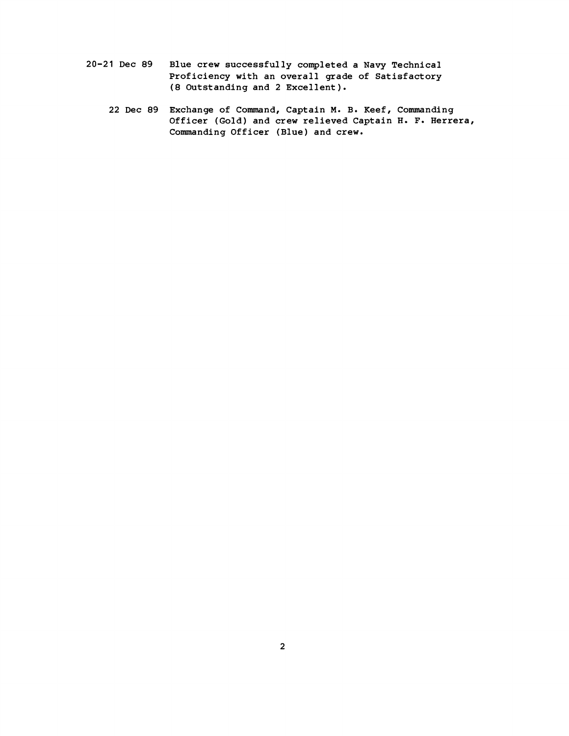- **20-21 Dec 89 Blue crew successfully completed a Navy Technical Proficiency with an overall grade of Satisfactory (8 Outstanding and 2 Excellent** ) .
	- **22 Dec 89 Exchange of Command, Captain M. B. Keef, Commanding Officer (Gold) and crew relieved Captain H. F. Herrera, Commanding Officer (Blue) and crew.**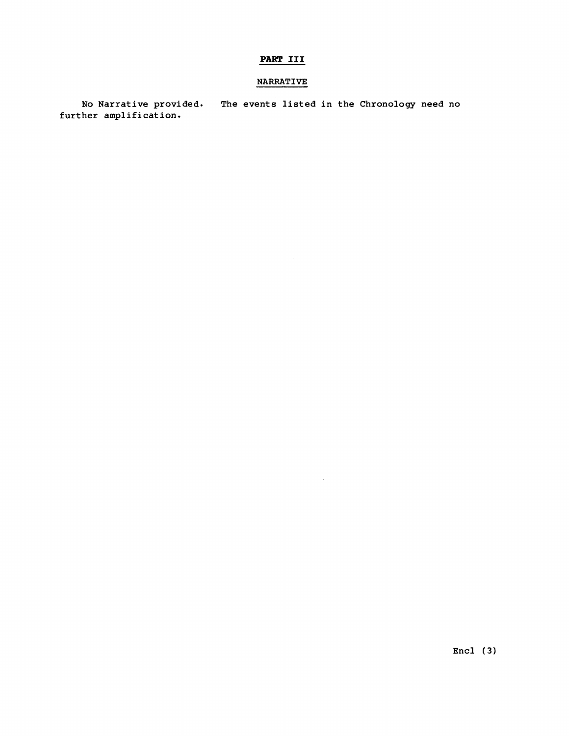# PART III

# NARRATIVE

No Narrative provided. The events listed in the Chronology need no further amplification.

Encl **(3)**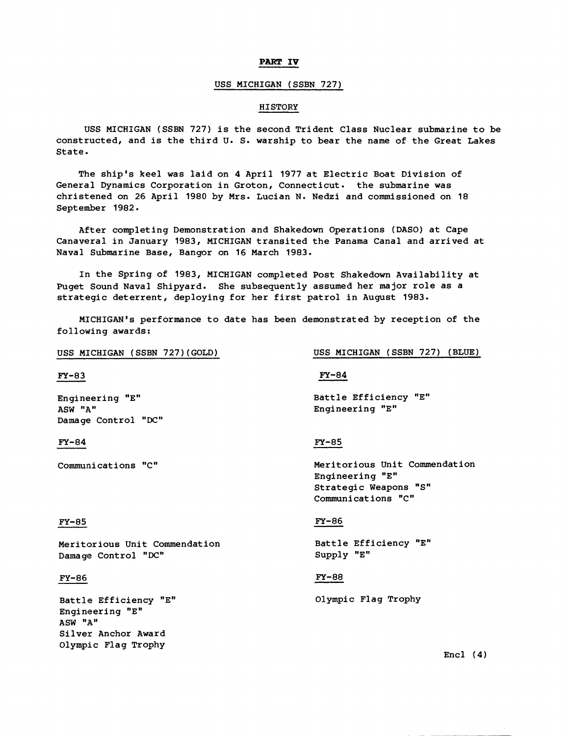### **PART IV**

### USS MICHIGAN (SSBN 727)

#### **HISTORY**

USS MICHIGAN (SSBN 727) is the second Trident Class Nuclear submarine to be constructed, and is the third U. S. warship to bear the name of the Great Lakes State.

The ship's keel was laid on 4 April 1977 at Electric Boat Division of General Dynamics Corporation in Groton, Connecticut. the submarine was christened on 26 April 1980 by Mrs. Lucian N. Nedzi and commissioned on 18 September 1982.

After completing Demonstration and Shakedown Operations (DASO) at Cape Canaveral in January 1983, MICHIGAN transited the Panama Canal and arrived at Naval Submarine Base, Bangor on 16 March 1983.

In the Spring of 1983, MICHIGAN completed Post Shakedown Availability at Puget Sound Naval Shipyard. She subsequently assumed her major role as a strategic deterrent, deploying for her first patrol in August 1983.

MICHIGAN'S performance to date has been demonstrated by reception of the following awards:

 $FY-83$ 

Engineering "E1' ASW "A" Damage Control 'DC"

### $FY-84$

Communications "C"

USS MICHIGAN (SSBN 727)(GOLD) USS MICHIGAN (SSBN 727) (BLUE)

 $FY-84$ 

Battle Efficiency "E" Engineering "Em

### $FY-85$

Meritorious Unit Commendation Engineering "E" Strategic Weapons "S" Communications "C"

#### **FY-85**

Meritorious Unit Commendat ion Damage Control "DC"

### **FY-86**

Battle Efficiency "E" Engineering "Em **ASW "A"** Silver Anchor Award Olympic Flag Trophy

### **FY-86**

Battle Efficiency "E" Supply "En'

#### $FY-88$

Olympic Flag Trophy

 $Encl$  (4)